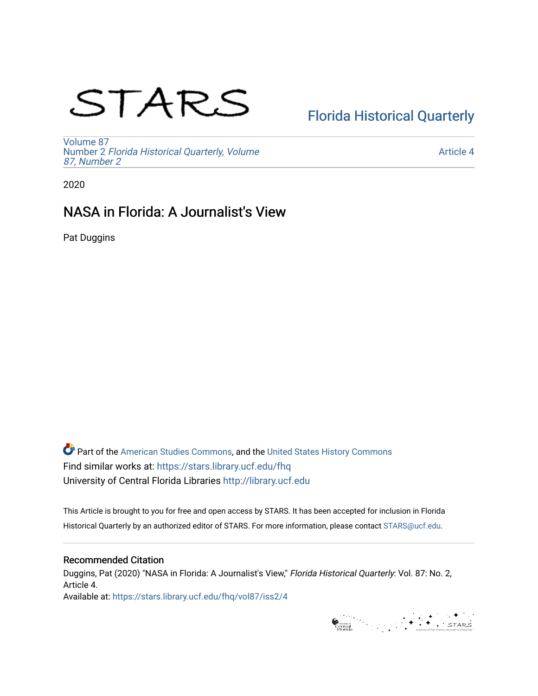# STARS

# [Florida Historical Quarterly](https://stars.library.ucf.edu/fhq)

[Volume 87](https://stars.library.ucf.edu/fhq/vol87) Number 2 [Florida Historical Quarterly, Volume](https://stars.library.ucf.edu/fhq/vol87/iss2)  [87, Number 2](https://stars.library.ucf.edu/fhq/vol87/iss2)

[Article 4](https://stars.library.ucf.edu/fhq/vol87/iss2/4) 

2020

## NASA in Florida: A Journalist's View

Pat Duggins

**C** Part of the [American Studies Commons](http://network.bepress.com/hgg/discipline/439?utm_source=stars.library.ucf.edu%2Ffhq%2Fvol87%2Fiss2%2F4&utm_medium=PDF&utm_campaign=PDFCoverPages), and the United States History Commons Find similar works at: <https://stars.library.ucf.edu/fhq> University of Central Florida Libraries [http://library.ucf.edu](http://library.ucf.edu/) 

This Article is brought to you for free and open access by STARS. It has been accepted for inclusion in Florida Historical Quarterly by an authorized editor of STARS. For more information, please contact [STARS@ucf.edu.](mailto:STARS@ucf.edu)

### Recommended Citation

Duggins, Pat (2020) "NASA in Florida: A Journalist's View," Florida Historical Quarterly: Vol. 87: No. 2, Article 4. Available at: [https://stars.library.ucf.edu/fhq/vol87/iss2/4](https://stars.library.ucf.edu/fhq/vol87/iss2/4?utm_source=stars.library.ucf.edu%2Ffhq%2Fvol87%2Fiss2%2F4&utm_medium=PDF&utm_campaign=PDFCoverPages) 

Grammar (Separator Contract)<br>Contract (Separator Contract)<br>Florida (Separator Contract)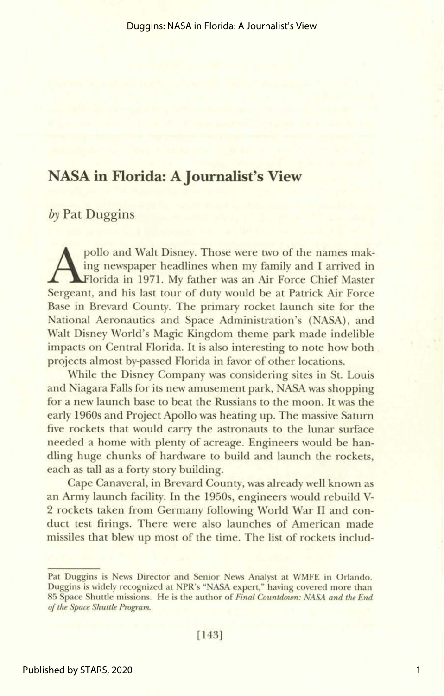## **NASA in Florida: A Journalist's View**

## *by* **Pat Duggins**

pollo and Walt Disney. Those were two of the names makorida in 1971. My father was an Air Force Chief Master ing newspaper headlines when my family and I arrived in Sergeant, and his last tour of duty would be at Patrick Air Force Base in Brevard County. The primary rocket launch site for the National Aeronautics and Space Administration's (NASA), and Walt Disney World's Magic Kingdom theme park made indelible impacts on Central Florida. It is also interesting to note how both , projects almost by-passed Florida in favor of other locations.

While the Disney Company was considering sites in St. Louis and Niagara Falls for its new amusement park, NASA was shopping for a new launch base to beat the Russians to the moon. It was the early 1960s and Project Apollo was heating up. The massive Saturn five rockets that would carry the astronauts to the lunar surface needed a home with plenty of acreage. Engineers would be handling huge chunks of hardware to build and launch the rockets, each as tall as a forty story building.

Cape Canaveral, in Brevard County, was already well known as an Army launch facility. In the 1950s, engineers would rebuild **V-**2 rockets taken from Germany following World War I1 and conduct test firings. There were also launches of American made missiles that blew up most of the time. The list of rockets includ-

**Pat Duggins is News Director and Senior News Analyst at WMFE in Orlando. Duggins is widely recognized at NPR's "NASA expert," having covered more than 85 Space Shuttle missions. He is the author of Final Countdown:** *NASA* **and** *the End of the Space Shuttle Program*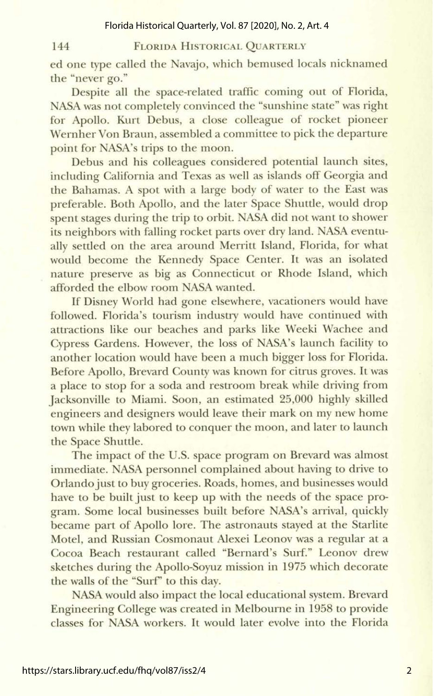Florida Historical Quarterly, Vol. 87 [2020], No. 2, Art. 4

#### 144

#### FLORIDA HISTORICAL QUARTERLY

ed one type called the Navajo, which bemused locals nicknamed the "never go."

Despite all the space-related traffic coming out of Florida, NASA was not completely convinced the "sunshine state" was right for Apollo. Kurt Debus, a close colleague of rocket pioneer Wernher Von Braun, assembled a committee to pick the departure point for NASA's trips to the moon.

Debus and his colleagues considered potential launch sites, including California and Texas as well as islands off Georgia and the Bahamas. A spot with a large body of water to the East was preferable. Both Apollo, and the later Space Shuttle, would drop spent stages during the trip to orbit. NASA did not want to shower its neighbors with falling rocket parts over dry land. NASA eventually settled on the area around Merritt Island, Florida, for what would become the Kennedy Space Center. It was an isolated nature preserve as big as Connecticut or Rhode Island, which afforded the elbow room NASA wanted.

If Disney World had gone elsewhere, vacationers would have followed. Florida's tourism industry would have continued with attractions like our beaches and parks like Weeki Wachee and Cypress Gardens. However, the loss of NASA's launch facility to another location would have been a much bigger loss for Florida. Before Apollo, Brevard County was known for citrus groves. It was a place to stop for a soda and restroom break while driving from Jacksonville to Miami. Soon, an estimated 25,000 highly skilled engineers and designers would leave their mark on my new home town while they labored to conquer the moon, and later to launch the Space Shuttle.

The impact of the U.S. space program on Brevard was almost immediate. NASA personnel complained about having to drive to Orlando just to buy groceries. Roads, homes, and businesses would have to be built just to keep up with the needs of the space program. Some local businesses built before NASA's arrival, quickly became part of Apollo lore. The astronauts stayed at the Starlite Motel, and Russian Cosmonaut Alexei Leonov was a regular at a Cocoa Beach restaurant called "Bernard's Surf." Leonov drew sketches during the Apollo-Soyuz mission in 1975 which decorate the walls of the "Surf" to this day.

NASA would also impact the local educational system. Brevard Engineering College was created in Melbourne in 1958 to provide classes for NASA workers. It would later evolve into the Florida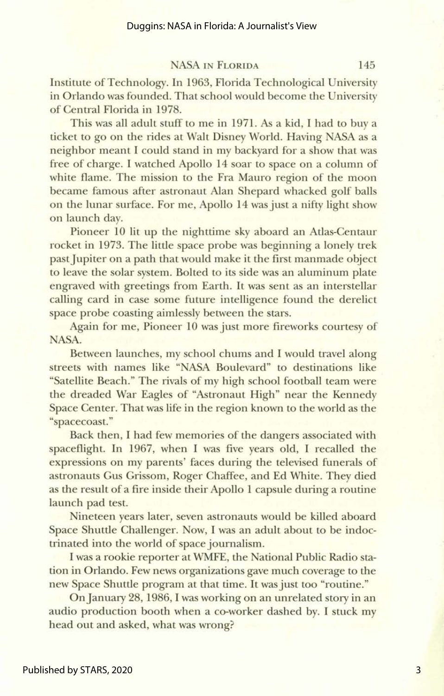NASA IN FLORIDA 145

Institute of Technology. In 1963, Florida Technological University in Orlando was founded. That school would become the University of Central Florida in 1978.

This was all adult stuff to me in 1971. As a kid, I had to buy a ticket to go on the rides at Walt Disney World. Having NASA as a neighbor meant I could stand in my backyard for a show that was free of charge. I watched Apollo 14 soar to space on a column of white flame. The mission to the Fra Mauro region of the moon became famous after astronaut Alan Shepard whacked golf balls on the lunar surface. For me, Apollo 14 was just a nifty light show on launch day.

Pioneer 10 lit up the nighttime sky aboard **an** Atlas-Centaur rocket in 1973. The little space probe was beginning a lonely trek past Jupiter on a path that would make it the first manmade object to leave the solar system. Bolted to its side was an aluminum plate engraved with greetings from Earth. It was sent as an interstellar calling card in case some future intelligence found the derelict space probe coasting aimlessly between the stars.

Again for me, Pioneer 10 was just more fireworks courtesy of NASA.

Between launches, my school chums and I would travel along streets with names like "NASA Boulevard" to destinations like "Satellite Beach." The rivals of my high school football team were the dreaded War Eagles of "Astronaut High" near the Kennedy Space Center. That was life in the region known to the world as the "spacecoast."

Back then, I had few memories of the dangers associated with spaceflight. In 1967, when I was five years old, I recalled the expressions on my parents' faces during the televised funerals of astronauts Gus Grissom, Roger Chaffee, and Ed White. They died as the result of a fire inside their Apollo 1 capsule during a routine launch pad test.

Nineteen years later, seven astronauts would be killed aboard Space Shuttle Challenger. Now, I was an adult about to be indoctrinated into the world of space journalism.

I was a rookie reporter at **WMFE,** the National Public Radio station in Orlando. Few news organizations gave much coverage to the new Space Shuttle program at that time. It was just too "routine."

On January 28,1986, I was working on **an** unrelated story in **an**  audio production booth when a co-worker dashed by. I stuck my head out and asked, what was wrong?

3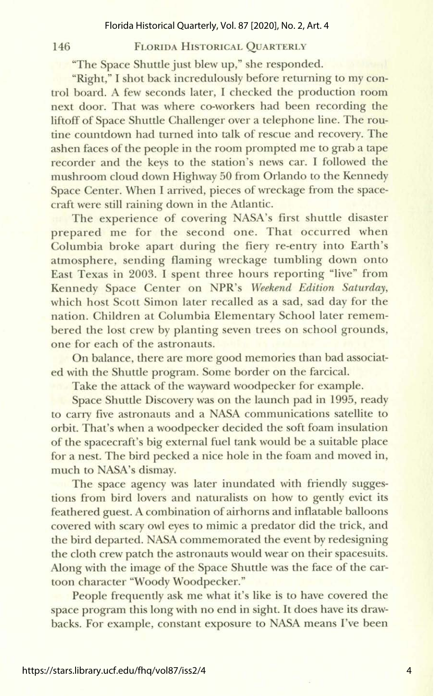#### FLORIDA HISTORICAL QUARTERLY

"The Space Shuttle just blew up," she responded.

146

"Right," I shot back incredulously before returning to my control board. A few seconds later, I checked the production room next door. That was where coworkers had been recording the liftoff of Space Shuttle Challenger over a telephone line. The routine countdown had turned into talk of rescue and recovery. The ashen faces of the people in the room prompted me to grab a tape recorder and the keys to the station's news car. I followed the mushroom cloud down Highway 50 from Orlando to the Kennedy Space Center. When I arrived, pieces of wreckage from the spacecraft were still raining down in the Atlantic.

The experience of covering NASA's first shuttle disaster prepared me for the second one. That occurred when Columbia broke apart during the fiery re-entry into Earth's atmosphere, sending flaming wreckage tumbling down onto East Texas in 2003. I spent three hours reporting "live" from Kennedy Space Center on NPR's Weekend Edition **Saturday,**  which host Scott Simon later recalled as a sad, sad day for the nation. Children at Columbia Elementary School later remembered the lost crew by planting seven trees on school grounds, one for each of the astronauts.

On balance, there are more good memories than bad associated with the Shuttle program. Some border on the farcical.

Take the attack of the wayward woodpecker for example.

Space Shuttle Discowry was on the launch pad in 1995, ready to carry five astronauts and a NASA communications satellite to orbit. That's when a woodpecker decided the soft foam insulation of the spacecraft's big external fuel tank would be a suitable place for a nest. The bird pecked a nice hole in the foam and moved in, much to NASA's dismay.

The space agency was later inundated with friendly suggestions from bird lovers and naturalists on how to gently evict its feathered guest. A combination of airhorns and inflatable balloons covered with scary owl eyes to mimic a predator did the trick, and the bird departed. NASA commemorated the event by redesigning the cloth crew patch the astronauts would wear on their spacesuits. Along with the image of the Space Shuttle was the face of the cartoon character "Woody Woodpecker."

People frequently ask me what it's like is to have covered the space program this long with no end in sight. It does have its drawbacks. For example, constant exposure to NASA means I've been

https://stars.library.ucf.edu/fhq/vol87/iss2/4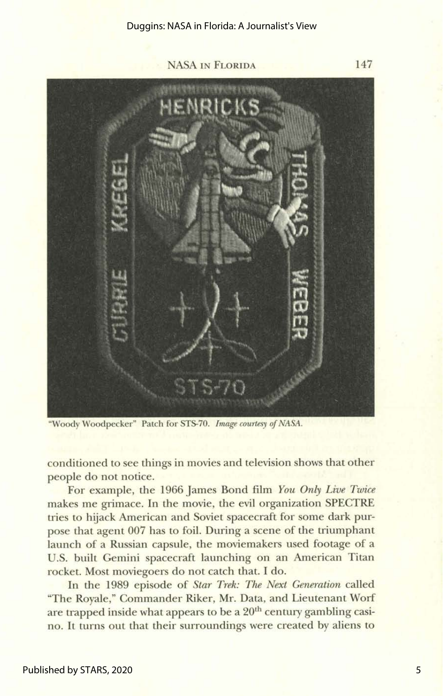**NASA IN FLORIDA 147** 



"Woody Woodpecker" Patch for STS-70. Image courtesy of NASA.

conditioned to see things in movies and television shows that other people do not notice.

For example, the **1966** James Bond film **You** Only Live Twice makes me grimace. In the movie, **the** evil organization SPECTRE tries to hijack American and Soviet spacecraft for some dark purpose that agent 007 has to foil. During a scene of the triumphant launch of a Russian capsule, the moviemakers used footage of a U.S. built Gemini spacecraft launching on an American Titan rocket. Most moviegoers do not catch that. I do.

In the **1989** episode of **Star** Trek: The Next **Generation** called "The Royale," Commander Riker, Mr. Data, and Lieutenant Worf are trapped inside what appears to be a 20<sup>th</sup> century gambling casino. It turns out that their surroundings were created by aliens to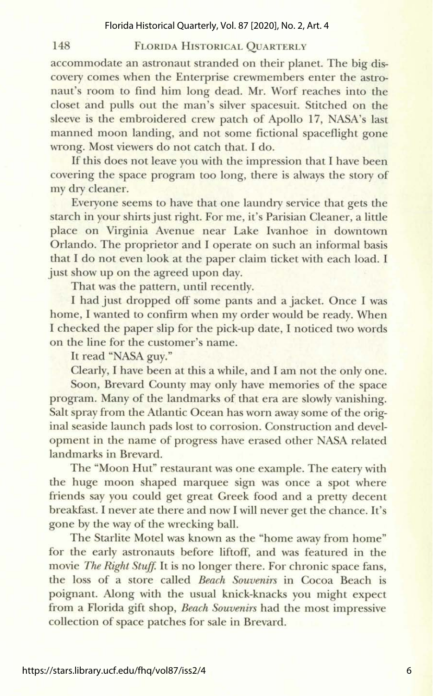#### Florida Historical Quarterly, Vol. 87 [2020], No. 2, Art. 4

#### FLORIDA HISTORICAL QUARTERLY

accommodate an astronaut stranded on their planet. The big discovery comes when the Enterprise crewmembers enter the astronaut's room to find him long dead. Mr. Worf reaches into **the**  closet and pulls out the man's silver spacesuit. Stitched on the sleeve is the embroidered crew patch of Apollo 17, NASA's last manned moon landing, and not some fictional spaceflight gone wrong. Most viewers do not catch that. I do.

If this does not leave you with the impression that I have been covering the space program too long, there is always the story of my dry cleaner.

Everyone seems to have that one laundry service that gets the starch in your shirts just right. For me, it's Parisian Cleaner, a little place on Virginia Avenue near Lake Ivanhoe in downtown Orlando. The proprietor and I operate on such an informal basis that I do not even look at the paper claim ticket with each load. I just show up on the agreed upon day.

That was the pattern, until recently.

I had just dropped off some pants and a jacket. Once I was home, I wanted to confirm when my order would be ready. When I checked the paper slip for the pick-up date, I noticed two words on the line for the customer's name.

It read "NASA **guy."** 

148

Clearly, I have been at this a while, and I am not the only one.

**Soon,** Brevard County may only have memories of **the** space program. Many of the Landmarks of that era are slowly vanishing. Salt spray from the Atlantic Ocean has worn away some of the original seaside launch pads lost to corrosion. Construction and development in the name of progress have erased other NASA related landmarks in Brevard.

The 'Moon Hut" restaurant was one example. The eatery with the huge moon shaped marquee sign **was** once a spot where friends say you could get great Greek food and a pretty decent breakfast. I never ate there and now I will never get the chance. It's gone by the way of the wrecking ball.

The Starlite Motel was known **as** the 'home away from home" for the early astronauts before liftoff, and was featured in the movie The Right Stuff. It is no longer there. For chronic space fans, the loss of a store called *Beach* Souvenirs in Cocoa Beach is poignant. Along with the usual knick-knacks you might expect from a Florida gift shop, *Beach Souvenirs* had the most impressive collection of space patches for sale in Brevard.